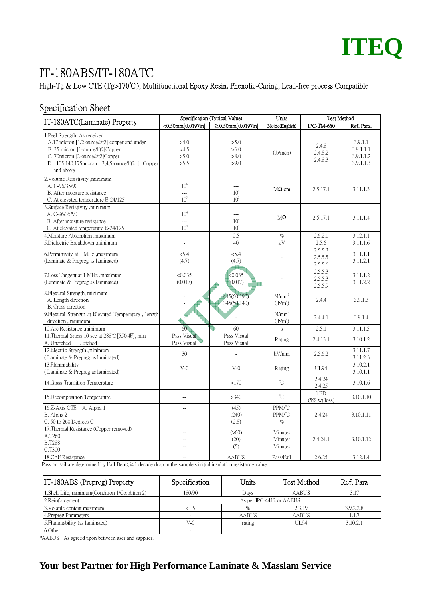

# IT-180ABS/IT-180ATC

#### High-Tg & Low CTE (Tg>170℃), Multifunctional Epoxy Resin, Phenolic-Curing, Lead-free process Compatible

---------------------------------------------------------------------------------------------------------------------------------

| <b>Specification Sheet</b>                                                                                                                                                                                             |                                           |                                           |                               |                                |                                                |  |  |  |
|------------------------------------------------------------------------------------------------------------------------------------------------------------------------------------------------------------------------|-------------------------------------------|-------------------------------------------|-------------------------------|--------------------------------|------------------------------------------------|--|--|--|
| IT-180ATC(Laminate) Property                                                                                                                                                                                           | Specification (Typical Value)             |                                           | <b>Units</b>                  | <b>Test Method</b>             |                                                |  |  |  |
|                                                                                                                                                                                                                        | $\sqrt{0.50 \text{mm}[0.0197]}\$          | ≥ 0.50mm[0.0197in]                        | Metric(English)               | <b>IPC-TM-650</b>              | Ref. Para.                                     |  |  |  |
| 1. Peel Strength, As received<br>A.17 micron [1/2 ounce/Ft2] copper and under<br>B. 35 micron [1-ounce/Ft2]Copper<br>C. 70 micron [2-ounce/Ft2] Copper<br>D. 105,140,175 micron [3,4,5-ounce/Ft2 ] Copper<br>and above | >4.0<br>>4.5<br>>5.0<br>>5.5              | >5.0<br>>6.0<br>>8.0<br>>9.0              | (lb/inch)                     | 2.4.8<br>2.4.8.2<br>2.4.8.3    | 3.9.1.1<br>3.9.1.1.1<br>3.9.1.1.2<br>3.9.1.1.3 |  |  |  |
| 2. Volume Resistivity, minimum<br>A. C-96/35/90<br>B. After moisture resistance<br>C. At elevated temperature E-24/125                                                                                                 | $10^{6}$<br>---<br>10 <sup>3</sup>        | $-$<br>10 <sup>4</sup><br>10 <sup>3</sup> | $M\Omega$ -cm                 | 2.5.17.1                       | 3.11.1.3                                       |  |  |  |
| 3.Surface Resistivity ,minimum<br>A. C-96/35/90<br>B. After moisture resistance<br>C. At elevated temperature E-24/125                                                                                                 | 10 <sup>4</sup><br>---<br>10 <sup>3</sup> | ---<br>10 <sup>4</sup><br>10 <sup>3</sup> | $M\Omega$                     | 2.5.17.1                       | 3.11.1.4                                       |  |  |  |
| 4. Moisture Absorption , maximum                                                                                                                                                                                       | $\overline{\phantom{a}}$                  | 0.5                                       | $\%$                          | 2.6.2.1                        | 3.12.1.1                                       |  |  |  |
| 5.Dielectric Breakdown ,minimum                                                                                                                                                                                        | ä,                                        | 40                                        | kV                            | 2.5.6                          | 3.11.1.6                                       |  |  |  |
| 6.Permittivity at 1 MHz .maximum<br>(Laminate & Prepreg as laminated)                                                                                                                                                  | 5.4<br>(4.7)                              | 5.4<br>(4.7)                              |                               | 2.5.5.3<br>2.5.5.5<br>2.5.5.6  | 3.11.1.1<br>3.11.2.1                           |  |  |  |
| 7. Loss Tangent at 1 MHz, maximum<br>(Laminate & Prepreg as laminated)                                                                                                                                                 | < 0.035<br>(0.017)                        | <0.035<br>(0.017)                         |                               | 2.5.5.3<br>2.5.5.3<br>2.5.5.9  | 3.11.1.2<br>3.11.2.2                           |  |  |  |
| 8. Flexural Strength, minimum<br>A. Length direction<br>B. Cross direction                                                                                                                                             |                                           | 415(60,190)<br>345(50,140)                | $N/mm^2$<br>$(lb/in^2)$       | 2.4.4                          | 3.9.1.3                                        |  |  |  |
| 9. Flexural Strength at Elevated Temperature, length<br>direction, minimum                                                                                                                                             |                                           |                                           | $N/mm^2$<br>$(lb/in^2)$       | 2.4.4.1                        | 3.9.1.4                                        |  |  |  |
| 10.Arc Resistance ,minimum                                                                                                                                                                                             | 60                                        | 60                                        | S                             | 2.5.1                          | 3.11.1.5                                       |  |  |  |
| 11. Thermal Srtess 10 sec at 288°C [550.4F], min<br>A. Unetched B. Etched                                                                                                                                              | Pass Visual<br>Pass Visual                | Pass Visual<br>Pass Visual                | Rating                        | 2.4.13.1                       | 3.10.1.2                                       |  |  |  |
| 12. Electric Strength , minimum<br>(Laminate & Prepreg as laminated)                                                                                                                                                   | 30                                        | $\overline{a}$                            | kV/mm                         | 2.5.6.2                        | 3.11.1.7<br>3.11.2.3                           |  |  |  |
| 13.Flammability<br>(Laminate & Prepreg as laminated)                                                                                                                                                                   | $V-0$                                     | $V-0$                                     | Rating                        | UL94                           | 3.10.2.1<br>3.10.1.1                           |  |  |  |
| 14. Glass Transition Temperature                                                                                                                                                                                       | $\overline{\phantom{a}}$                  | >170                                      | °C                            | 2.4.24<br>2.4.25               | 3.10.1.6                                       |  |  |  |
| 15. Decomposition Temperature                                                                                                                                                                                          | $\overline{\phantom{a}}$                  | >340                                      | $\rm ^{\circ}C$               | TBD<br>$(5\% \text{ wt loss})$ | 3.10.1.10                                      |  |  |  |
| 16.Z-Axis CTE A. Alpha 1<br>B. Alpha 2<br>$C. 50$ to 260 Degrees $C$                                                                                                                                                   | --<br>$\overline{a}$<br>$\sim$            | (45)<br>(240)<br>(2.8)                    | PPM/°C<br>PPM/°C<br>$\%$      | 2.4.24                         | 3.10.1.11                                      |  |  |  |
| 17. Thermal Resistance (Copper removed)<br>A.T260<br><b>B.T288</b><br>C.T300                                                                                                                                           | $\overline{a}$<br>--                      | (>60)<br>(20)<br>(5)                      | Minutes<br>Minutes<br>Minutes | 2.4.24.1                       | 3.10.1.12                                      |  |  |  |
| 18.CAF Resistance                                                                                                                                                                                                      | $\overline{\phantom{a}}$                  | <b>AABUS</b>                              | Pass/Fail                     | 2.6.25                         | 3.12.1.4                                       |  |  |  |

Pass or Fail are determined by Fail Being≧1 decade drop in the sample's initial insulation resistance value.

| <b>IT-180ABS</b> (Prepreg) Property              | Specification            | Units  | Test Method  | Ref. Para |  |  |  |
|--------------------------------------------------|--------------------------|--------|--------------|-----------|--|--|--|
| 1. Shelf Life, minimum (Condition 1/Condition 2) | 180/90                   | Days   | <b>AABUS</b> | 3.1'      |  |  |  |
| 2.Reinforcement                                  | As per IPC-4412 or AABUS |        |              |           |  |  |  |
| 3. Volatile content maximum                      | <1.5                     | $\%$   | 2.3.19       | 3.9.2.2.8 |  |  |  |
| 4. Prepreg Parameters                            |                          | AABUS  | AABUS        | 1.1.7     |  |  |  |
| 5. Flammability (as laminated)                   | $V-0$                    | rating | <b>UL94</b>  | 3.10.2.1  |  |  |  |
| 6.Other                                          |                          |        |              |           |  |  |  |

\*AABUS =As agreed upon between user and supplier.

### **Your best Partner for High Performance Laminate & Masslam Service**